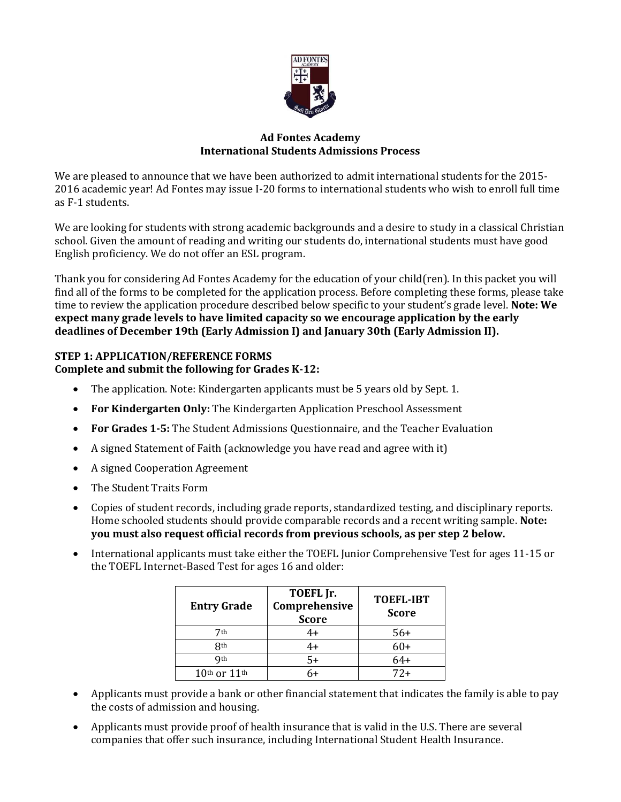

## **Ad Fontes Academy International Students Admissions Process**

We are pleased to announce that we have been authorized to admit international students for the 2015- 2016 academic year! Ad Fontes may issue I-20 forms to international students who wish to enroll full time as F-1 students.

We are looking for students with strong academic backgrounds and a desire to study in a classical Christian school. Given the amount of reading and writing our students do, international students must have good English proficiency. We do not offer an ESL program.

Thank you for considering Ad Fontes Academy for the education of your child(ren). In this packet you will find all of the forms to be completed for the application process. Before completing these forms, please take time to review the application procedure described below specific to your student's grade level. **Note: We expect many grade levels to have limited capacity so we encourage application by the early deadlines of December 19th (Early Admission I) and January 30th (Early Admission II).** 

# **STEP 1: APPLICATION/REFERENCE FORMS**

# **Complete and submit the following for Grades K-12:**

- The application. Note: Kindergarten applicants must be 5 years old by Sept. 1.
- **For Kindergarten Only:** The Kindergarten Application Preschool Assessment
- **For Grades 1-5:** The Student Admissions Questionnaire, and the Teacher Evaluation
- A signed Statement of Faith (acknowledge you have read and agree with it)
- A signed Cooperation Agreement
- The Student Traits Form
- Copies of student records, including grade reports, standardized testing, and disciplinary reports. Home schooled students should provide comparable records and a recent writing sample. **Note: you must also request official records from previous schools, as per step 2 below.**
- International applicants must take either the TOEFL Junior Comprehensive Test for ages 11-15 or the TOEFL Internet-Based Test for ages 16 and older:

| <b>Entry Grade</b> | TOEFL Jr.<br>Comprehensive<br><b>Score</b> | <b>TOEFL-IBT</b><br><b>Score</b> |
|--------------------|--------------------------------------------|----------------------------------|
| 7th                | ŀ+                                         | $56+$                            |
| <b>Rth</b>         | 4+                                         | $60+$                            |
| Qth                | $5+$                                       | $64+$                            |
| $10th$ or $11th$   |                                            | $72+$                            |

- Applicants must provide a bank or other financial statement that indicates the family is able to pay the costs of admission and housing.
- Applicants must provide proof of health insurance that is valid in the U.S. There are several companies that offer such insurance, including International Student Health Insurance.